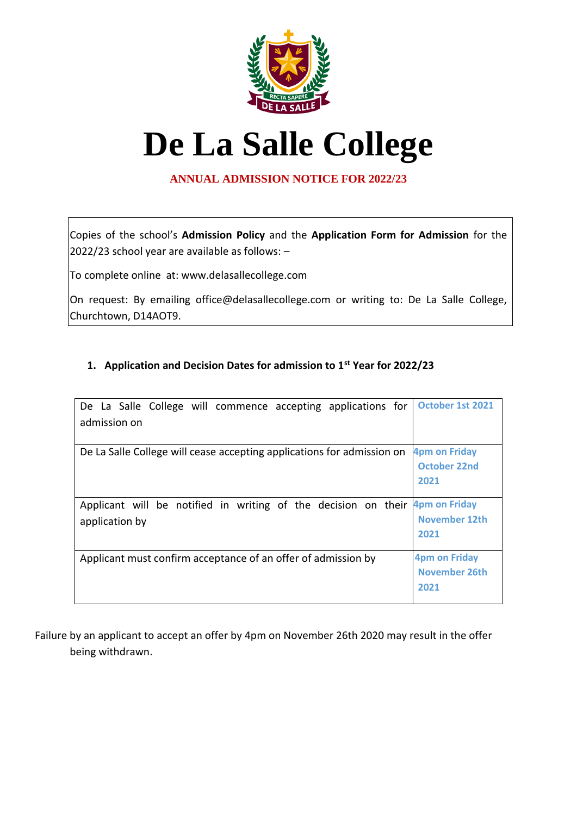

## **De La Salle College**

## **ANNUAL ADMISSION NOTICE FOR 2022/23**

Copies of the school's **Admission Policy** and the **Application Form for Admission** for the 2022/23 school year are available as follows: –

To complete online at: www.delasallecollege.com

On request: By emailing office@delasallecollege.com or writing to: De La Salle College, Churchtown, D14AOT9.

## **1. Application and Decision Dates for admission to 1st Year for 2022/23**

| De La Salle College will commence accepting applications for                 | October 1st 2021     |
|------------------------------------------------------------------------------|----------------------|
| admission on                                                                 |                      |
| De La Salle College will cease accepting applications for admission on       | <b>4pm on Friday</b> |
|                                                                              | <b>October 22nd</b>  |
|                                                                              | 2021                 |
| Applicant will be notified in writing of the decision on their 4pm on Friday |                      |
| application by                                                               | November 12th        |
|                                                                              | 2021                 |
| Applicant must confirm acceptance of an offer of admission by                | <b>4pm on Friday</b> |
|                                                                              | November 26th        |
|                                                                              | 2021                 |
|                                                                              |                      |

Failure by an applicant to accept an offer by 4pm on November 26th 2020 may result in the offer being withdrawn.